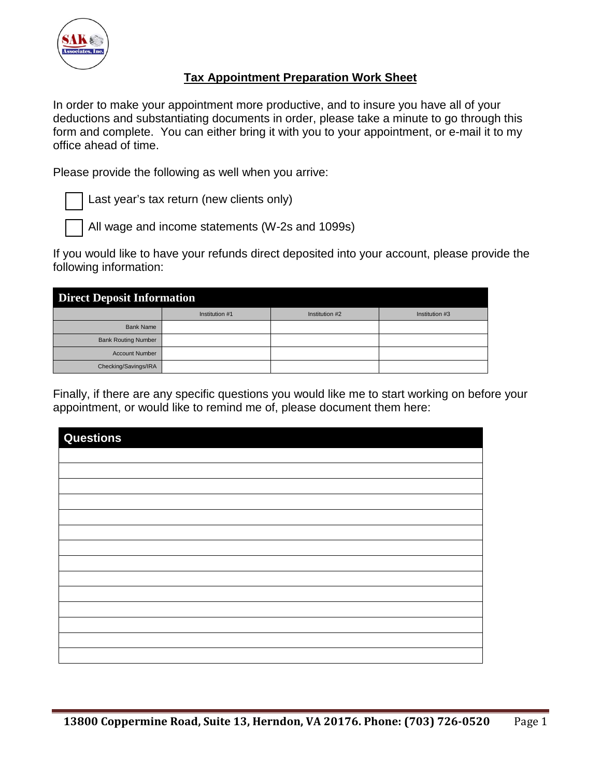

## **Tax Appointment Preparation Work Sheet**

In order to make your appointment more productive, and to insure you have all of your deductions and substantiating documents in order, please take a minute to go through this form and complete. You can either bring it with you to your appointment, or e-mail it to my office ahead of time.

Please provide the following as well when you arrive:

Last year's tax return (new clients only)

All wage and income statements (W-2s and 1099s)

If you would like to have your refunds direct deposited into your account, please provide the following information:

| <b>Direct Deposit Information</b> |                |                |                |  |  |  |
|-----------------------------------|----------------|----------------|----------------|--|--|--|
|                                   | Institution #1 | Institution #2 | Institution #3 |  |  |  |
| <b>Bank Name</b>                  |                |                |                |  |  |  |
| <b>Bank Routing Number</b>        |                |                |                |  |  |  |
| <b>Account Number</b>             |                |                |                |  |  |  |
| Checking/Savings/IRA              |                |                |                |  |  |  |

Finally, if there are any specific questions you would like me to start working on before your appointment, or would like to remind me of, please document them here:

| <b>Questions</b> |  |
|------------------|--|
|                  |  |
|                  |  |
|                  |  |
|                  |  |
|                  |  |
|                  |  |
|                  |  |
|                  |  |
|                  |  |
|                  |  |
|                  |  |
|                  |  |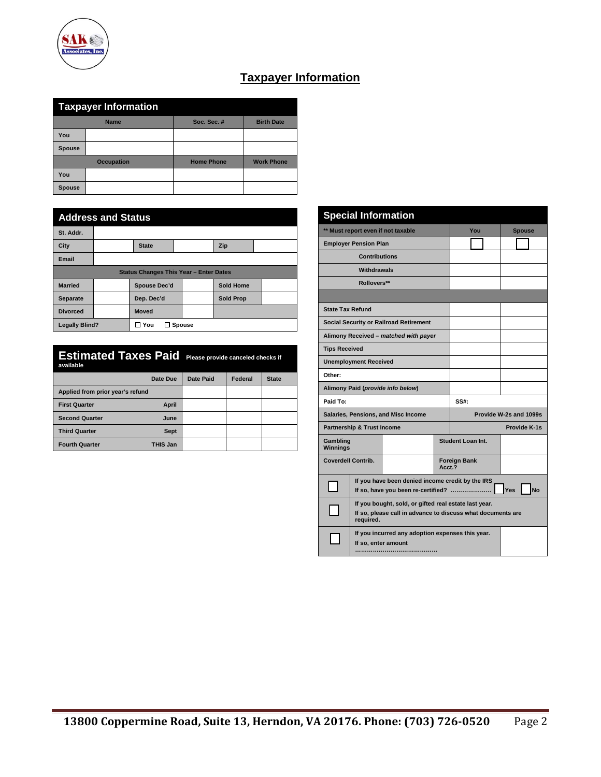

| <b>Taxpayer Information</b> |                   |                   |                   |  |  |  |
|-----------------------------|-------------------|-------------------|-------------------|--|--|--|
|                             | <b>Name</b>       | Soc. Sec. #       | <b>Birth Date</b> |  |  |  |
| You                         |                   |                   |                   |  |  |  |
| <b>Spouse</b>               |                   |                   |                   |  |  |  |
|                             | <b>Occupation</b> | <b>Home Phone</b> | <b>Work Phone</b> |  |  |  |
| You                         |                   |                   |                   |  |  |  |
| <b>Spouse</b>               |                   |                   |                   |  |  |  |

**SAK Associates**. In

| <b>Address and Status</b> |                                               |                      |  |                  |  |  |  |
|---------------------------|-----------------------------------------------|----------------------|--|------------------|--|--|--|
| St. Addr.                 |                                               |                      |  |                  |  |  |  |
| City                      |                                               | <b>State</b>         |  | Zip              |  |  |  |
| Email                     |                                               |                      |  |                  |  |  |  |
|                           | <b>Status Changes This Year - Enter Dates</b> |                      |  |                  |  |  |  |
| <b>Married</b>            |                                               | Spouse Dec'd         |  | <b>Sold Home</b> |  |  |  |
| <b>Separate</b>           |                                               | Dep. Dec'd           |  | <b>Sold Prop</b> |  |  |  |
| <b>Divorced</b>           |                                               | <b>Moved</b>         |  |                  |  |  |  |
| <b>Legally Blind?</b>     |                                               | $\Box$ You<br>Spouse |  |                  |  |  |  |

| <b>Estimated Taxes Paid</b><br>available |             | Please provide canceled checks if |         |              |
|------------------------------------------|-------------|-----------------------------------|---------|--------------|
|                                          | Date Due    | <b>Date Paid</b>                  | Federal | <b>State</b> |
| Applied from prior year's refund         |             |                                   |         |              |
| <b>First Quarter</b>                     | April       |                                   |         |              |
| <b>Second Quarter</b>                    | June        |                                   |         |              |
| <b>Third Quarter</b>                     | <b>Sept</b> |                                   |         |              |
| <b>Fourth Quarter</b>                    | THIS Jan    |                                   |         |              |

|                             | <b>Special Information</b>                                                                                                        |                                               |        |                     |     |  |                        |
|-----------------------------|-----------------------------------------------------------------------------------------------------------------------------------|-----------------------------------------------|--------|---------------------|-----|--|------------------------|
|                             |                                                                                                                                   | ** Must report even if not taxable            |        |                     | You |  | <b>Spouse</b>          |
|                             | <b>Employer Pension Plan</b>                                                                                                      |                                               |        |                     |     |  |                        |
|                             | <b>Contributions</b>                                                                                                              |                                               |        |                     |     |  |                        |
|                             | Withdrawals                                                                                                                       |                                               |        |                     |     |  |                        |
| Rollovers**                 |                                                                                                                                   |                                               |        |                     |     |  |                        |
|                             |                                                                                                                                   |                                               |        |                     |     |  |                        |
| <b>State Tax Refund</b>     |                                                                                                                                   |                                               |        |                     |     |  |                        |
|                             |                                                                                                                                   | <b>Social Security or Railroad Retirement</b> |        |                     |     |  |                        |
|                             |                                                                                                                                   | Alimony Received - matched with payer         |        |                     |     |  |                        |
| <b>Tips Received</b>        |                                                                                                                                   |                                               |        |                     |     |  |                        |
|                             | <b>Unemployment Received</b>                                                                                                      |                                               |        |                     |     |  |                        |
| Other:                      |                                                                                                                                   |                                               |        |                     |     |  |                        |
|                             |                                                                                                                                   | Alimony Paid (provide info below)             |        |                     |     |  |                        |
| Paid To:                    |                                                                                                                                   |                                               |        | $SS#$ :             |     |  |                        |
|                             |                                                                                                                                   | Salaries, Pensions, and Misc Income           |        |                     |     |  | Provide W-2s and 1099s |
|                             | <b>Partnership &amp; Trust Income</b>                                                                                             |                                               |        | Provide K-1s        |     |  |                        |
| Gambling<br><b>Winnings</b> |                                                                                                                                   |                                               |        | Student Loan Int.   |     |  |                        |
| <b>Coverdell Contrib.</b>   |                                                                                                                                   |                                               | Acct.? | <b>Foreign Bank</b> |     |  |                        |
|                             | If you have been denied income credit by the IRS<br>Yes<br><b>No</b><br>If so, have you been re-certified?                        |                                               |        |                     |     |  |                        |
|                             | If you bought, sold, or gifted real estate last year.<br>If so, please call in advance to discuss what documents are<br>required. |                                               |        |                     |     |  |                        |
|                             | If you incurred any adoption expenses this year.<br>If so, enter amount                                                           |                                               |        |                     |     |  |                        |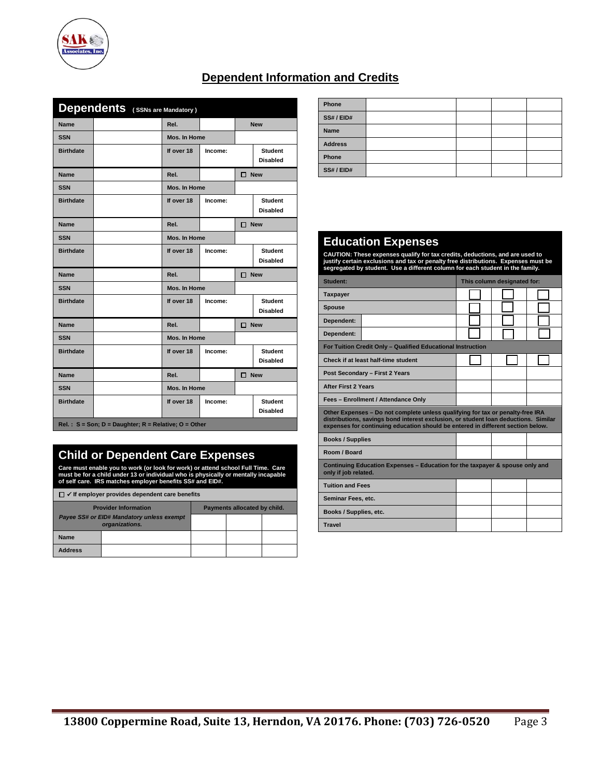

| <b>Dependents</b> (SSNs are Mandatory) |  |              |         |               |                                   |  |
|----------------------------------------|--|--------------|---------|---------------|-----------------------------------|--|
| <b>Name</b>                            |  | Rel.         |         |               | <b>New</b>                        |  |
| <b>SSN</b>                             |  | Mos. In Home |         |               |                                   |  |
| <b>Birthdate</b>                       |  | If over 18   | Income: |               | <b>Student</b><br><b>Disabled</b> |  |
| Name                                   |  | Rel.         |         | $\Box$ New    |                                   |  |
| <b>SSN</b>                             |  | Mos. In Home |         |               |                                   |  |
| <b>Birthdate</b>                       |  | If over 18   | Income: |               | <b>Student</b><br><b>Disabled</b> |  |
| Name                                   |  | Rel.         |         | $\Box$ New    |                                   |  |
| <b>SSN</b>                             |  | Mos. In Home |         |               |                                   |  |
| <b>Birthdate</b>                       |  | If over 18   | Income: |               | <b>Student</b><br><b>Disabled</b> |  |
| <b>Name</b>                            |  | Rel.         |         | $\square$ New |                                   |  |
| <b>SSN</b>                             |  | Mos. In Home |         |               |                                   |  |
|                                        |  |              |         |               |                                   |  |
| <b>Birthdate</b>                       |  | If over 18   | Income: |               | <b>Student</b><br><b>Disabled</b> |  |
| <b>Name</b>                            |  | Rel.         |         | $\square$ New |                                   |  |
| <b>SSN</b>                             |  | Mos. In Home |         |               |                                   |  |
| <b>Birthdate</b>                       |  | If over 18   | Income: |               | <b>Student</b><br><b>Disabled</b> |  |
| <b>Name</b>                            |  | Rel.         |         | $\square$ New |                                   |  |
| <b>SSN</b>                             |  | Mos. In Home |         |               |                                   |  |
| <b>Birthdate</b>                       |  | If over 18   | Income: |               | <b>Student</b><br><b>Disabled</b> |  |

# **Dependent Information and Credits**

## **Child or Dependent Care Expenses**

Care must enable you to work (or look for work) or attend school Full Time. Care<br>must be for a child under 13 or individual who is physically or mentally incapable<br>of self care. IRS matches employer benefits SS# and EID#

| $\Box \checkmark$ If employer provides dependent care benefits |                                                                    |  |                              |  |
|----------------------------------------------------------------|--------------------------------------------------------------------|--|------------------------------|--|
|                                                                | <b>Provider Information</b>                                        |  | Payments allocated by child. |  |
|                                                                | <b>Payee SS# or EID# Mandatory unless exempt</b><br>organizations. |  |                              |  |
| Name                                                           |                                                                    |  |                              |  |
| <b>Address</b>                                                 |                                                                    |  |                              |  |

| Phone          |  |  |
|----------------|--|--|
| SS#/EID#       |  |  |
| Name           |  |  |
| <b>Address</b> |  |  |
| Phone          |  |  |
| SS#/EID#       |  |  |

### **Education Expenses**

CAUTION: These expenses qualify for tax credits, deductions, and are used to<br>justify certain exclusions and tax or penalty free distributions. Expenses must be<br>segregated by student. Use a different column for each stude

| Student:                                                                                                                                                                                                                                                 | This column designated for: |  |  |  |  |  |
|----------------------------------------------------------------------------------------------------------------------------------------------------------------------------------------------------------------------------------------------------------|-----------------------------|--|--|--|--|--|
| <b>Taxpayer</b>                                                                                                                                                                                                                                          |                             |  |  |  |  |  |
| <b>Spouse</b>                                                                                                                                                                                                                                            |                             |  |  |  |  |  |
| Dependent:                                                                                                                                                                                                                                               |                             |  |  |  |  |  |
| Dependent:                                                                                                                                                                                                                                               |                             |  |  |  |  |  |
| For Tuition Credit Only - Qualified Educational Instruction                                                                                                                                                                                              |                             |  |  |  |  |  |
| Check if at least half-time student                                                                                                                                                                                                                      |                             |  |  |  |  |  |
| Post Secondary - First 2 Years                                                                                                                                                                                                                           |                             |  |  |  |  |  |
| <b>After First 2 Years</b>                                                                                                                                                                                                                               |                             |  |  |  |  |  |
| Fees - Enrollment / Attendance Only                                                                                                                                                                                                                      |                             |  |  |  |  |  |
| Other Expenses - Do not complete unless qualifying for tax or penalty-free IRA<br>distributions, savings bond interest exclusion, or student loan deductions. Similar<br>expenses for continuing education should be entered in different section below. |                             |  |  |  |  |  |
| <b>Books / Supplies</b>                                                                                                                                                                                                                                  |                             |  |  |  |  |  |
| Room / Board                                                                                                                                                                                                                                             |                             |  |  |  |  |  |
| Continuing Education Expenses – Education for the taxpayer & spouse only and<br>only if job related.                                                                                                                                                     |                             |  |  |  |  |  |
| <b>Tuition and Fees</b>                                                                                                                                                                                                                                  |                             |  |  |  |  |  |
| Seminar Fees, etc.                                                                                                                                                                                                                                       |                             |  |  |  |  |  |
| Books / Supplies, etc.                                                                                                                                                                                                                                   |                             |  |  |  |  |  |
| <b>Travel</b>                                                                                                                                                                                                                                            |                             |  |  |  |  |  |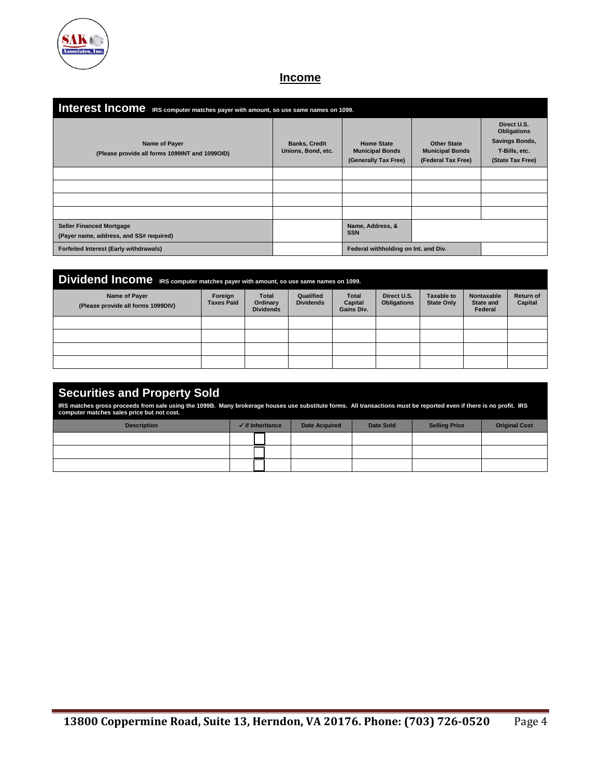

## **Income**

| Interest Income IRS computer matches payer with amount, so use same names on 1099. |                                            |                                                                     |                                                                    |                                                                                          |  |  |  |  |
|------------------------------------------------------------------------------------|--------------------------------------------|---------------------------------------------------------------------|--------------------------------------------------------------------|------------------------------------------------------------------------------------------|--|--|--|--|
| Name of Payer<br>(Please provide all forms 1099INT and 1099OID)                    | <b>Banks, Credit</b><br>Unions, Bond, etc. | <b>Home State</b><br><b>Municipal Bonds</b><br>(Generally Tax Free) | <b>Other State</b><br><b>Municipal Bonds</b><br>(Federal Tax Free) | Direct U.S.<br><b>Obligations</b><br>Savings Bonds,<br>T-Bills, etc.<br>(State Tax Free) |  |  |  |  |
|                                                                                    |                                            |                                                                     |                                                                    |                                                                                          |  |  |  |  |
|                                                                                    |                                            |                                                                     |                                                                    |                                                                                          |  |  |  |  |
|                                                                                    |                                            |                                                                     |                                                                    |                                                                                          |  |  |  |  |
|                                                                                    |                                            |                                                                     |                                                                    |                                                                                          |  |  |  |  |
| <b>Seller Financed Mortgage</b><br>(Payer name, address, and SS# required)         |                                            | Name, Address, &<br><b>SSN</b>                                      |                                                                    |                                                                                          |  |  |  |  |
| Forfeited Interest (Early withdrawals)                                             |                                            | Federal withholding on Int. and Div.                                |                                                                    |                                                                                          |  |  |  |  |

| Dividend Income IRS computer matches payer with amount, so use same names on 1099. |                              |                                              |                               |                                       |                                   |                                        |                                           |                                    |
|------------------------------------------------------------------------------------|------------------------------|----------------------------------------------|-------------------------------|---------------------------------------|-----------------------------------|----------------------------------------|-------------------------------------------|------------------------------------|
| Name of Payer<br>(Please provide all forms 1099DIV)                                | Foreign<br><b>Taxes Paid</b> | <b>Total</b><br>Ordinary<br><b>Dividends</b> | Qualified<br><b>Dividends</b> | <b>Total</b><br>Capital<br>Gains Div. | Direct U.S.<br><b>Obligations</b> | <b>Taxable to</b><br><b>State Only</b> | Nontaxable<br><b>State and</b><br>Federal | <b>Return of</b><br><b>Capital</b> |
|                                                                                    |                              |                                              |                               |                                       |                                   |                                        |                                           |                                    |
|                                                                                    |                              |                                              |                               |                                       |                                   |                                        |                                           |                                    |
|                                                                                    |                              |                                              |                               |                                       |                                   |                                        |                                           |                                    |
|                                                                                    |                              |                                              |                               |                                       |                                   |                                        |                                           |                                    |

## **Securities and Property Sold**

IRS matches gross proceeds from sale using the 1099B. Many brokerage houses use substitute forms. All transactions must be reported even if there is no profit. IRS<br>computer matches sales price but not cost.

| <b>Description</b> | $\checkmark$ if Inheritance | <b>Date Acquired</b> | Date Sold | <b>Selling Price</b> | <b>Original Cost</b> |
|--------------------|-----------------------------|----------------------|-----------|----------------------|----------------------|
|                    |                             |                      |           |                      |                      |
|                    |                             |                      |           |                      |                      |
|                    |                             |                      |           |                      |                      |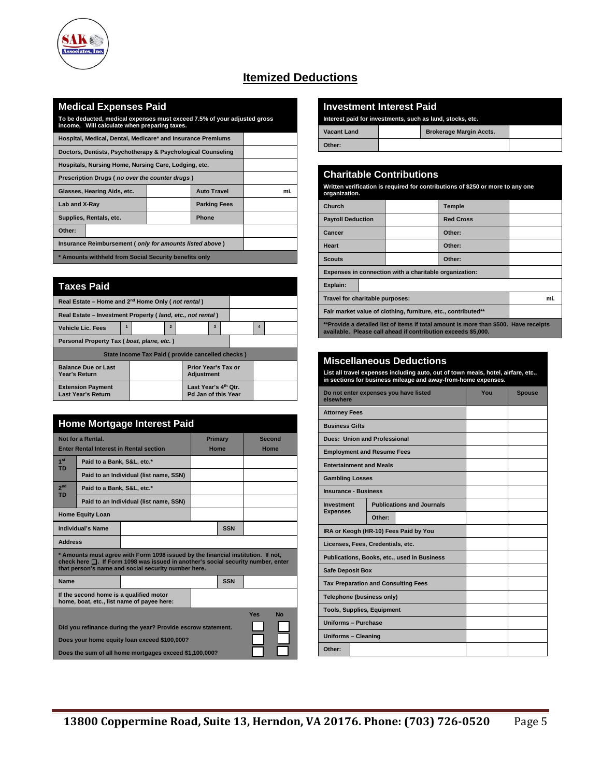

## **Itemized Deductions**

### **Medical Expenses Paid**

**To be deducted, medical expenses must exceed 7.5% of your adjusted gross income, Will calculate when preparing taxes.**

| Hospital, Medical, Dental, Medicare* and Insurance Premiums |                     |     |
|-------------------------------------------------------------|---------------------|-----|
| Doctors, Dentists, Psychotherapy & Psychological Counseling |                     |     |
| Hospitals, Nursing Home, Nursing Care, Lodging, etc.        |                     |     |
| Prescription Drugs (no over the counter drugs)              |                     |     |
| Glasses, Hearing Aids, etc.                                 | <b>Auto Travel</b>  | mi. |
| Lab and X-Ray                                               | <b>Parking Fees</b> |     |
| Supplies, Rentals, etc.                                     | <b>Phone</b>        |     |
| Other:                                                      |                     |     |
| Insurance Reimbursement (only for amounts listed above)     |                     |     |
| * Amounts withheld from Social Security benefits only       |                     |     |

| Taxes Paid                                                    |  |                                                  |                                   |  |                                                         |   |  |   |  |
|---------------------------------------------------------------|--|--------------------------------------------------|-----------------------------------|--|---------------------------------------------------------|---|--|---|--|
| Real Estate - Home and 2 <sup>nd</sup> Home Only (not rental) |  |                                                  |                                   |  |                                                         |   |  |   |  |
| Real Estate - Investment Property (Iand, etc., not rental)    |  |                                                  |                                   |  |                                                         |   |  |   |  |
| <b>Vehicle Lic. Fees</b>                                      |  |                                                  | $\overline{2}$                    |  |                                                         | 3 |  | 4 |  |
| Personal Property Tax (boat, plane, etc.)                     |  |                                                  |                                   |  |                                                         |   |  |   |  |
|                                                               |  | State Income Tax Paid (provide cancelled checks) |                                   |  |                                                         |   |  |   |  |
| <b>Balance Due or Last</b><br>Year's Return                   |  |                                                  | Prior Year's Tax or<br>Adjustment |  |                                                         |   |  |   |  |
| <b>Extension Payment</b><br><b>Last Year's Return</b>         |  |                                                  |                                   |  | Last Year's 4 <sup>th</sup> Otr.<br>Pd Jan of this Year |   |  |   |  |

|                              | <b>Home Mortgage Interest Paid</b>                           |                                                                                                                                                                                                                                   |         |            |        |           |  |
|------------------------------|--------------------------------------------------------------|-----------------------------------------------------------------------------------------------------------------------------------------------------------------------------------------------------------------------------------|---------|------------|--------|-----------|--|
| Not for a Rental.            |                                                              |                                                                                                                                                                                                                                   | Primary |            | Second |           |  |
|                              |                                                              | <b>Enter Rental Interest in Rental section</b>                                                                                                                                                                                    | Home    |            | Home   |           |  |
| 1 <sup>st</sup><br><b>TD</b> | Paid to a Bank, S&L, etc.*                                   |                                                                                                                                                                                                                                   |         |            |        |           |  |
|                              |                                                              | Paid to an Individual (list name, SSN)                                                                                                                                                                                            |         |            |        |           |  |
| 2 <sub>nd</sub><br><b>TD</b> | Paid to a Bank, S&L, etc.*                                   |                                                                                                                                                                                                                                   |         |            |        |           |  |
|                              |                                                              | Paid to an Individual (list name, SSN)                                                                                                                                                                                            |         |            |        |           |  |
|                              | <b>Home Equity Loan</b>                                      |                                                                                                                                                                                                                                   |         |            |        |           |  |
|                              | Individual's Name                                            |                                                                                                                                                                                                                                   |         | <b>SSN</b> |        |           |  |
| <b>Address</b>               |                                                              |                                                                                                                                                                                                                                   |         |            |        |           |  |
|                              |                                                              | * Amounts must agree with Form 1098 issued by the financial institution. If not,<br>check here $\Box$ . If Form 1098 was issued in another's social security number, enter<br>that person's name and social security number here. |         |            |        |           |  |
| <b>Name</b>                  |                                                              |                                                                                                                                                                                                                                   |         | <b>SSN</b> |        |           |  |
|                              |                                                              | If the second home is a qualified motor<br>home, boat, etc., list name of payee here:                                                                                                                                             |         |            |        |           |  |
|                              |                                                              |                                                                                                                                                                                                                                   |         |            | Yes    | <b>No</b> |  |
|                              | Did you refinance during the year? Provide escrow statement. |                                                                                                                                                                                                                                   |         |            |        |           |  |
|                              |                                                              | Does your home equity loan exceed \$100,000?                                                                                                                                                                                      |         |            |        |           |  |
|                              | Does the sum of all home mortgages exceed \$1,100,000?       |                                                                                                                                                                                                                                   |         |            |        |           |  |

#### **Investment Interest Paid**

Interest paid for investments, such as land, stocks

| Vacant Land | <b>Brokerage Margin Accts.</b> |  |
|-------------|--------------------------------|--|
| Other:      |                                |  |

### **Charitable Contributions Written verification is required for contributions of \$250 or more to any one organization. Church Temple Payroll Deduction Red Cross Cancer Other: Heart Other:**  Scouts **and Community Scouts Other: Expenses in connection with a charitable organization: Explain: Travel for charitable purposes:** mi. **Fair market value of clothing, furniture, etc., contributed\*\* \*\*Provide a detailed list of items if total amount is more than \$500. Have receipts available. Please call ahead if contribution exceeds \$5,000.**

#### **Miscellaneous Deductions**

**List all travel expenses including auto, out of town meals, hotel, airfare, etc., in sections for business mileage and away-from-home expenses.**

| Do not enter expenses you have listed<br>elsewhere |        |                                             | You | <b>Spouse</b> |
|----------------------------------------------------|--------|---------------------------------------------|-----|---------------|
| <b>Attorney Fees</b>                               |        |                                             |     |               |
| <b>Business Gifts</b>                              |        |                                             |     |               |
| <b>Dues: Union and Professional</b>                |        |                                             |     |               |
| <b>Employment and Resume Fees</b>                  |        |                                             |     |               |
| <b>Entertainment and Meals</b>                     |        |                                             |     |               |
| <b>Gambling Losses</b>                             |        |                                             |     |               |
| <b>Insurance - Business</b>                        |        |                                             |     |               |
| <b>Investment</b>                                  |        | <b>Publications and Journals</b>            |     |               |
| <b>Expenses</b>                                    | Other: |                                             |     |               |
| IRA or Keogh (HR-10) Fees Paid by You              |        |                                             |     |               |
| Licenses, Fees, Credentials, etc.                  |        |                                             |     |               |
|                                                    |        | Publications, Books, etc., used in Business |     |               |
| <b>Safe Deposit Box</b>                            |        |                                             |     |               |
| <b>Tax Preparation and Consulting Fees</b>         |        |                                             |     |               |
| Telephone (business only)                          |        |                                             |     |               |
| <b>Tools, Supplies, Equipment</b>                  |        |                                             |     |               |
| Uniforms - Purchase                                |        |                                             |     |               |
| Uniforms - Cleaning                                |        |                                             |     |               |
| Other:                                             |        |                                             |     |               |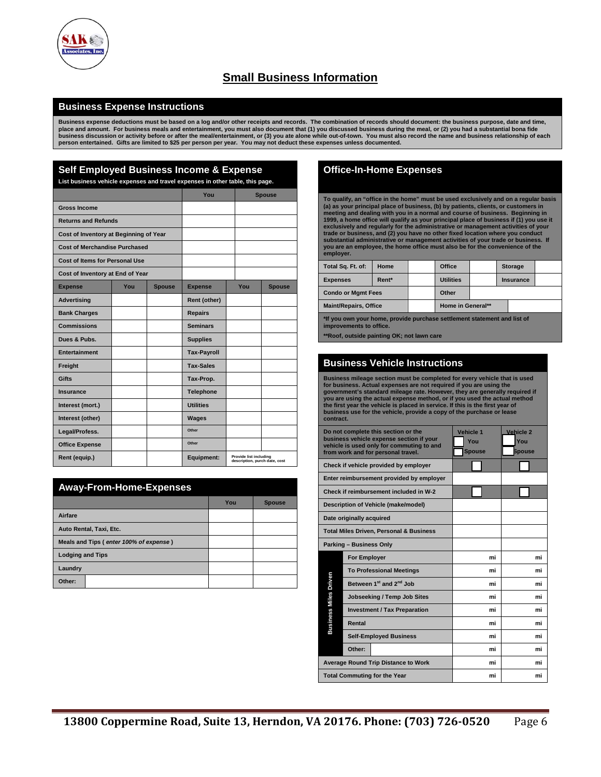

# **Small Business Information**

#### **Business Expense Instructions**

**Business expense deductions must be based on a log and/or other receipts and records. The combination of records should document: the business purpose, date and time,**  place and amount. For business meals and entertainment, you must also document that (1) you discussed business during the meal, or (2) you had a substantial bona fide<br>business discussion or activity before or after the mea

| <b>Self Employed Business Income &amp; Expense</b>                            |     |               |                    |  |                        |                               |
|-------------------------------------------------------------------------------|-----|---------------|--------------------|--|------------------------|-------------------------------|
| List business vehicle expenses and travel expenses in other table, this page. |     |               |                    |  |                        |                               |
|                                                                               |     |               | You                |  |                        | <b>Spouse</b>                 |
| <b>Gross Income</b>                                                           |     |               |                    |  |                        |                               |
| <b>Returns and Refunds</b>                                                    |     |               |                    |  |                        |                               |
| Cost of Inventory at Beginning of Year                                        |     |               |                    |  |                        |                               |
| <b>Cost of Merchandise Purchased</b>                                          |     |               |                    |  |                        |                               |
| <b>Cost of Items for Personal Use</b>                                         |     |               |                    |  |                        |                               |
| Cost of Inventory at End of Year                                              |     |               |                    |  |                        |                               |
| <b>Expense</b>                                                                | You | <b>Spouse</b> | <b>Expense</b>     |  | You                    | <b>Spouse</b>                 |
| <b>Advertising</b>                                                            |     |               | Rent (other)       |  |                        |                               |
| <b>Bank Charges</b>                                                           |     |               | <b>Repairs</b>     |  |                        |                               |
| <b>Commissions</b>                                                            |     |               | <b>Seminars</b>    |  |                        |                               |
| Dues & Pubs.                                                                  |     |               | <b>Supplies</b>    |  |                        |                               |
| <b>Entertainment</b>                                                          |     |               | <b>Tax-Payroll</b> |  |                        |                               |
| Freight                                                                       |     |               | <b>Tax-Sales</b>   |  |                        |                               |
| Gifts                                                                         |     |               | Tax-Prop.          |  |                        |                               |
| Insurance                                                                     |     |               | <b>Telephone</b>   |  |                        |                               |
| Interest (mort.)                                                              |     |               | <b>Utilities</b>   |  |                        |                               |
| Interest (other)                                                              |     |               | <b>Wages</b>       |  |                        |                               |
| Legal/Profess.                                                                |     |               | Other              |  |                        |                               |
| <b>Office Expense</b>                                                         |     |               | Other              |  |                        |                               |
| Rent (equip.)                                                                 |     |               | Equipment:         |  | Provide list including | description, purch date, cost |
|                                                                               |     |               |                    |  |                        |                               |

|                         | <b>Away-From-Home-Expenses</b>         |     |               |
|-------------------------|----------------------------------------|-----|---------------|
|                         |                                        | You | <b>Spouse</b> |
| Airfare                 |                                        |     |               |
|                         | Auto Rental, Taxi, Etc.                |     |               |
|                         | Meals and Tips (enter 100% of expense) |     |               |
| <b>Lodging and Tips</b> |                                        |     |               |
| Laundry                 |                                        |     |               |
| Other:                  |                                        |     |               |

#### **Office-In-Home Expenses**

To qualify, an "office in the home" must be used exclusively and on a regular basis<br>(a) as your principal place of business, (b) by patients, clients, or customers in<br>meeting and dealing with you in a normal and course of **employer.**

| Total Sq. Ft. of:            | Home  | Office            |  |  | <b>Storage</b> |  |
|------------------------------|-------|-------------------|--|--|----------------|--|
| <b>Expenses</b>              | Rent* | <b>Utilities</b>  |  |  | Insurance      |  |
| <b>Condo or Mgmt Fees</b>    |       | Other             |  |  |                |  |
| <b>Maint/Repairs, Office</b> |       | Home in General** |  |  |                |  |

**\*If you own your home, provide purchase settlement statement and list of improvements to office.**

**\*\*Roof, outside painting OK; not lawn care**

#### **Business Vehicle Instructions**

Business mileage section must be completed for every vehicle that is used<br>for business. Actual expenses are not required if you are using the<br>government's standard mileage rate. However, they are generally required if<br>you **contract.**

|                              | Do not complete this section or the<br>business vehicle expense section if your<br>vehicle is used only for commuting to and<br>from work and for personal travel. | Vehicle 1<br>You<br><b>Spouse</b> | Vehicle 2<br>You<br><b>Spouse</b> |
|------------------------------|--------------------------------------------------------------------------------------------------------------------------------------------------------------------|-----------------------------------|-----------------------------------|
|                              | Check if vehicle provided by employer                                                                                                                              |                                   |                                   |
|                              | Enter reimbursement provided by employer                                                                                                                           |                                   |                                   |
|                              | Check if reimbursement included in W-2                                                                                                                             |                                   |                                   |
|                              | Description of Vehicle (make/model)                                                                                                                                |                                   |                                   |
|                              | Date originally acquired                                                                                                                                           |                                   |                                   |
|                              | <b>Total Miles Driven, Personal &amp; Business</b>                                                                                                                 |                                   |                                   |
|                              | Parking - Business Only                                                                                                                                            |                                   |                                   |
|                              | <b>For Employer</b>                                                                                                                                                | mi                                | mi                                |
|                              | <b>To Professional Meetings</b>                                                                                                                                    | mi                                | mi                                |
| <b>Business Miles Driven</b> | Between 1 <sup>st</sup> and 2 <sup>nd</sup> Job                                                                                                                    | mi                                | mi                                |
|                              | <b>Jobseeking / Temp Job Sites</b>                                                                                                                                 | mi                                | mi                                |
|                              | <b>Investment / Tax Preparation</b>                                                                                                                                | mi                                | mi                                |
|                              | Rental                                                                                                                                                             | mi                                | mi                                |
|                              | <b>Self-Employed Business</b>                                                                                                                                      | mi                                | mi                                |
|                              | Other:                                                                                                                                                             | mi                                | mi                                |
|                              | <b>Average Round Trip Distance to Work</b>                                                                                                                         | mi                                | mi                                |
|                              | <b>Total Commuting for the Year</b>                                                                                                                                | mi                                | mi                                |